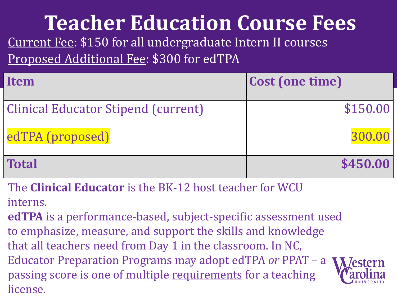### **Teacher Education Course Fees**

Current Fee: \$150 for all undergraduate Intern II courses Proposed Additional Fee: \$300 for edTPA

| Item                                       | <b>Cost (one time)</b> |
|--------------------------------------------|------------------------|
| <b>Clinical Educator Stipend (current)</b> | \$150.00               |
| edTPA (proposed)                           | 300.00                 |
| <b>Total</b>                               | \$450.00               |

The **Clinical Educator** is the BK-12 host teacher for WCU interns.

**edTPA** is a performance-based, subject-specific assessment used to emphasize, measure, and support the skills and knowledge that all teachers need from Day 1 in the classroom. In NC, Educator Preparation Programs may adopt edTPA *or* PPAT – a passing score is one of multiple requirements for a teaching license.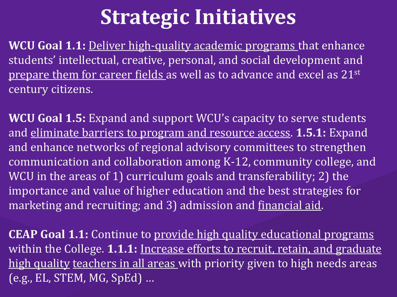## **Strategic Initiatives**

WCU Goal 1.1: **Deliver high-quality academic programs** that enhance students' intellectual, creative, personal, and social development and prepare them for career fields as well as to advance and excel as 21st century citizens.

**WCU Goal 1.5:** Expand and support WCU's capacity to serve students and eliminate barriers to program and resource access. **1.5.1:** Expand and enhance networks of regional advisory committees to strengthen communication and collaboration among K-12, community college, and WCU in the areas of 1) curriculum goals and transferability; 2) the importance and value of higher education and the best strategies for marketing and recruiting; and 3) admission and financial aid.

**CEAP Goal 1.1:** Continue to provide high quality educational programs within the College. **1.1.1:** Increase efforts to recruit, retain, and graduate high quality teachers in all areas with priority given to high needs areas (e.g., EL, STEM, MG, SpEd) …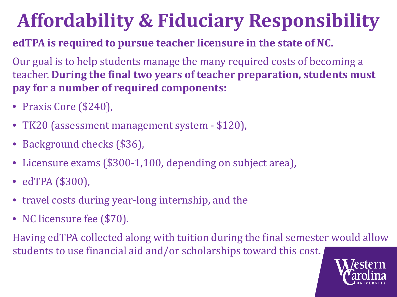### **Affordability & Fiduciary Responsibility**

#### **edTPA is required to pursue teacher licensure in the state of NC.**

Our goal is to help students manage the many required costs of becoming a teacher. **During the final two years of teacher preparation, students must pay for a number of required components:** 

- Praxis Core (\$240),
- TK20 (assessment management system \$120),
- Background checks (\$36),
- Licensure exams (\$300-1,100, depending on subject area),
- edTPA (\$300),
- travel costs during year-long internship, and the
- NC licensure fee (\$70).

Having edTPA collected along with tuition during the final semester would allow students to use financial aid and/or scholarships toward this cost.